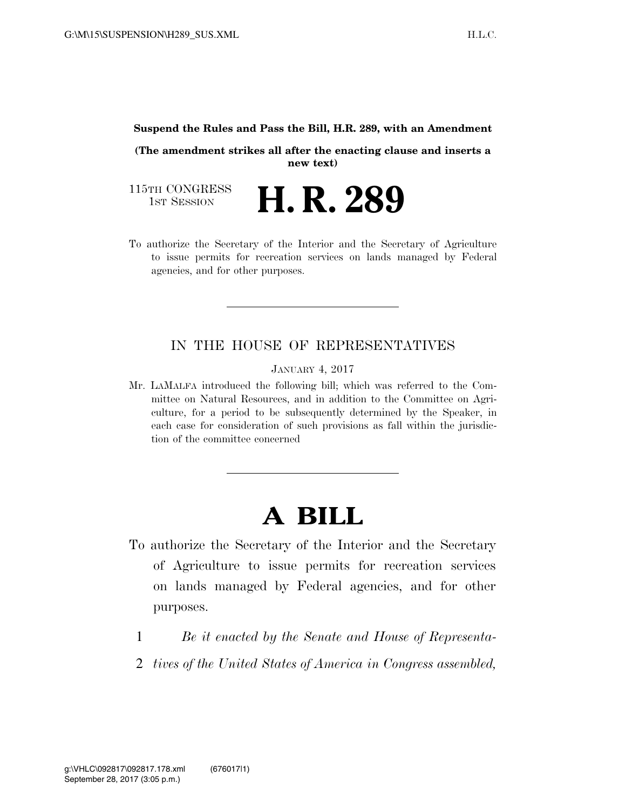#### **Suspend the Rules and Pass the Bill, H.R. 289, with an Amendment**

**(The amendment strikes all after the enacting clause and inserts a new text)** 

115TH CONGRESS<br>1st Session H. R. 289

To authorize the Secretary of the Interior and the Secretary of Agriculture to issue permits for recreation services on lands managed by Federal agencies, and for other purposes.

#### IN THE HOUSE OF REPRESENTATIVES

JANUARY 4, 2017

Mr. LAMALFA introduced the following bill; which was referred to the Committee on Natural Resources, and in addition to the Committee on Agriculture, for a period to be subsequently determined by the Speaker, in each case for consideration of such provisions as fall within the jurisdiction of the committee concerned

# **A BILL**

- To authorize the Secretary of the Interior and the Secretary of Agriculture to issue permits for recreation services on lands managed by Federal agencies, and for other purposes.
	- 1 *Be it enacted by the Senate and House of Representa-*
	- 2 *tives of the United States of America in Congress assembled,*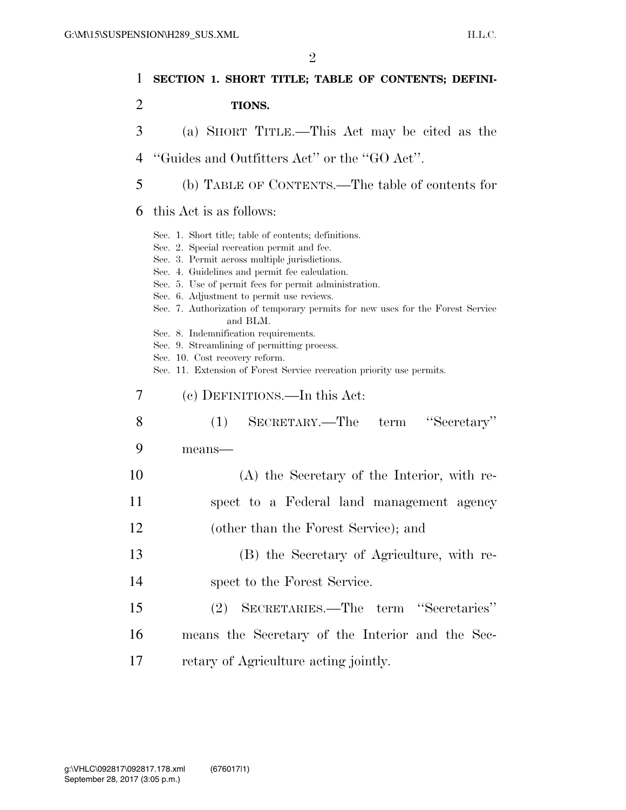| 1  | SECTION 1. SHORT TITLE; TABLE OF CONTENTS; DEFINI-                                                                                                                                                                                                                                                                                                                                                                                                                                                                                                                                                           |
|----|--------------------------------------------------------------------------------------------------------------------------------------------------------------------------------------------------------------------------------------------------------------------------------------------------------------------------------------------------------------------------------------------------------------------------------------------------------------------------------------------------------------------------------------------------------------------------------------------------------------|
| 2  | <b>TIONS.</b>                                                                                                                                                                                                                                                                                                                                                                                                                                                                                                                                                                                                |
| 3  | (a) SHORT TITLE.—This Act may be cited as the                                                                                                                                                                                                                                                                                                                                                                                                                                                                                                                                                                |
| 4  | "Guides and Outfitters Act" or the "GO Act".                                                                                                                                                                                                                                                                                                                                                                                                                                                                                                                                                                 |
| 5  | (b) TABLE OF CONTENTS.—The table of contents for                                                                                                                                                                                                                                                                                                                                                                                                                                                                                                                                                             |
| 6  | this Act is as follows:                                                                                                                                                                                                                                                                                                                                                                                                                                                                                                                                                                                      |
|    | Sec. 1. Short title; table of contents; definitions.<br>Sec. 2. Special recreation permit and fee.<br>Sec. 3. Permit across multiple jurisdictions.<br>Sec. 4. Guidelines and permit fee calculation.<br>Sec. 5. Use of permit fees for permit administration.<br>Sec. 6. Adjustment to permit use reviews.<br>Sec. 7. Authorization of temporary permits for new uses for the Forest Service<br>and BLM.<br>Sec. 8. Indemnification requirements.<br>Sec. 9. Streamlining of permitting process.<br>Sec. 10. Cost recovery reform.<br>Sec. 11. Extension of Forest Service recreation priority use permits. |
| 7  | (c) DEFINITIONS.—In this Act:                                                                                                                                                                                                                                                                                                                                                                                                                                                                                                                                                                                |
| 8  | SECRETARY.—The term "Secretary"<br>(1)                                                                                                                                                                                                                                                                                                                                                                                                                                                                                                                                                                       |
| 9  | means-                                                                                                                                                                                                                                                                                                                                                                                                                                                                                                                                                                                                       |
| 10 | (A) the Secretary of the Interior, with re-                                                                                                                                                                                                                                                                                                                                                                                                                                                                                                                                                                  |
| 11 | spect to a Federal land management agency                                                                                                                                                                                                                                                                                                                                                                                                                                                                                                                                                                    |
| 12 | (other than the Forest Service); and                                                                                                                                                                                                                                                                                                                                                                                                                                                                                                                                                                         |
| 13 | (B) the Secretary of Agriculture, with re-                                                                                                                                                                                                                                                                                                                                                                                                                                                                                                                                                                   |
| 14 | spect to the Forest Service.                                                                                                                                                                                                                                                                                                                                                                                                                                                                                                                                                                                 |
| 15 | SECRETARIES.—The term "Secretaries"<br>(2)                                                                                                                                                                                                                                                                                                                                                                                                                                                                                                                                                                   |
| 16 | means the Secretary of the Interior and the Sec-                                                                                                                                                                                                                                                                                                                                                                                                                                                                                                                                                             |
| 17 | retary of Agriculture acting jointly.                                                                                                                                                                                                                                                                                                                                                                                                                                                                                                                                                                        |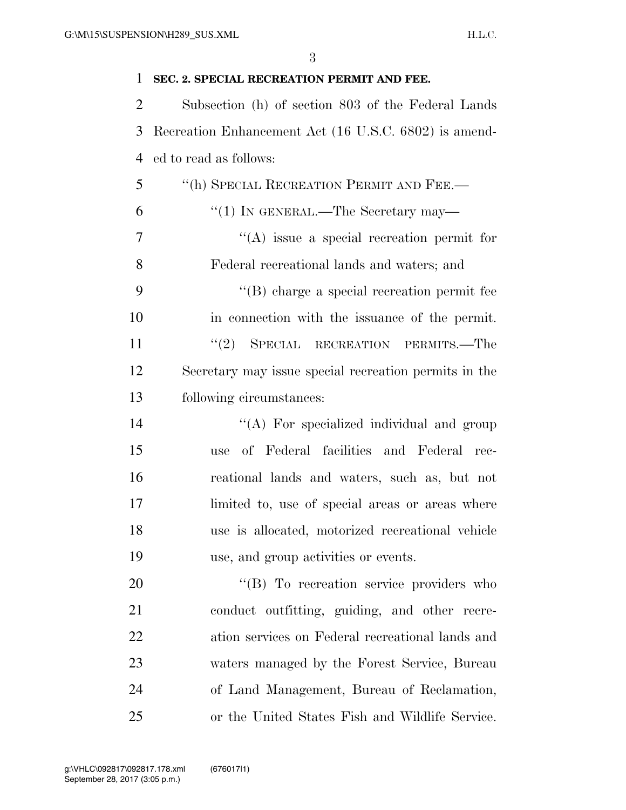| $\mathbf{1}$   | SEC. 2. SPECIAL RECREATION PERMIT AND FEE.            |
|----------------|-------------------------------------------------------|
| $\overline{2}$ | Subsection (h) of section 803 of the Federal Lands    |
| 3              | Recreation Enhancement Act (16 U.S.C. 6802) is amend- |
| 4              | ed to read as follows:                                |
| 5              | "(h) SPECIAL RECREATION PERMIT AND FEE.—              |
| 6              | "(1) IN GENERAL.—The Secretary may—                   |
| 7              | $\lq\lq$ issue a special recreation permit for        |
| 8              | Federal recreational lands and waters; and            |
| 9              | $\lq\lq$ charge a special recreation permit fee       |
| 10             | in connection with the issuance of the permit.        |
| 11             | "(2) SPECIAL RECREATION PERMITS.—The                  |
| 12             | Secretary may issue special recreation permits in the |
| 13             | following circumstances:                              |
| 14             | "(A) For specialized individual and group             |
| 15             | of Federal facilities and Federal rec-<br>use         |
| 16             | reational lands and waters, such as, but not          |
| 17             | limited to, use of special areas or areas where       |
| 18             | use is allocated, motorized recreational vehicle      |
| 19             | use, and group activities or events.                  |
| 20             | "(B) To recreation service providers who              |
| 21             | conduct outfitting, guiding, and other recre-         |
| 22             | ation services on Federal recreational lands and      |
| 23             | waters managed by the Forest Service, Bureau          |
| 24             | of Land Management, Bureau of Reclamation,            |
| 25             | or the United States Fish and Wildlife Service.       |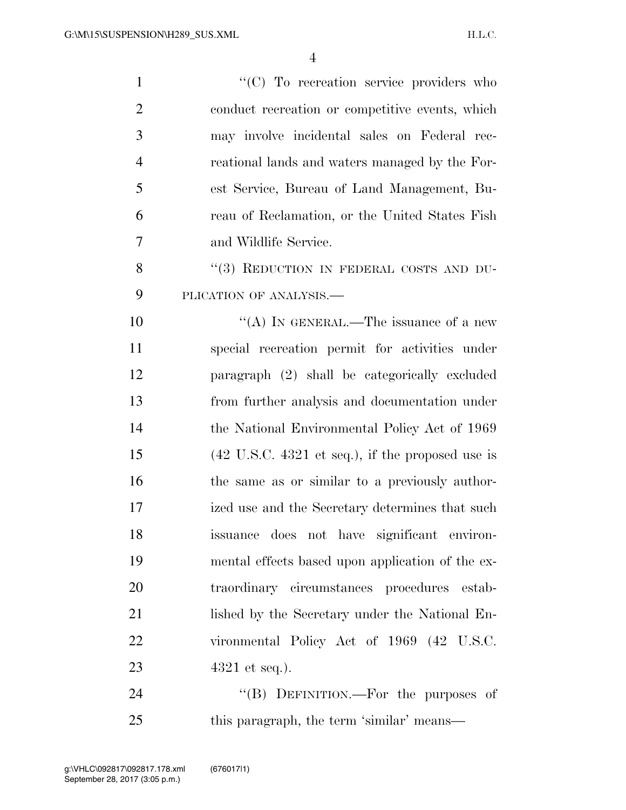| $\mathbf{1}$   | "(C) To recreation service providers who                            |
|----------------|---------------------------------------------------------------------|
| $\overline{2}$ | conduct recreation or competitive events, which                     |
| 3              | may involve incidental sales on Federal rec-                        |
| $\overline{4}$ | reational lands and waters managed by the For-                      |
| 5              | est Service, Bureau of Land Management, Bu-                         |
| 6              | reau of Reclamation, or the United States Fish                      |
| 7              | and Wildlife Service.                                               |
| 8              | "(3) REDUCTION IN FEDERAL COSTS AND DU-                             |
| 9              | PLICATION OF ANALYSIS.-                                             |
| 10             | "(A) IN GENERAL.—The issuance of a new                              |
| 11             | special recreation permit for activities under                      |
| 12             | paragraph (2) shall be categorically excluded                       |
| 13             | from further analysis and documentation under                       |
| 14             | the National Environmental Policy Act of 1969                       |
| 15             | $(42 \text{ U.S.C. } 4321 \text{ et seq.}),$ if the proposed use is |
| 16             | the same as or similar to a previously author-                      |
| 17             | ized use and the Secretary determines that such                     |
| 18             | issuance does not have significant environ-                         |
| 19             | mental effects based upon application of the ex-                    |
| 20             | traordinary circumstances procedures estab-                         |
| 21             | lished by the Secretary under the National En-                      |
| 22             | vironmental Policy Act of 1969 (42 U.S.C.                           |
| 23             | $4321$ et seq.).                                                    |
| 24             | "(B) DEFINITION.—For the purposes of                                |
| 25             | this paragraph, the term 'similar' means—                           |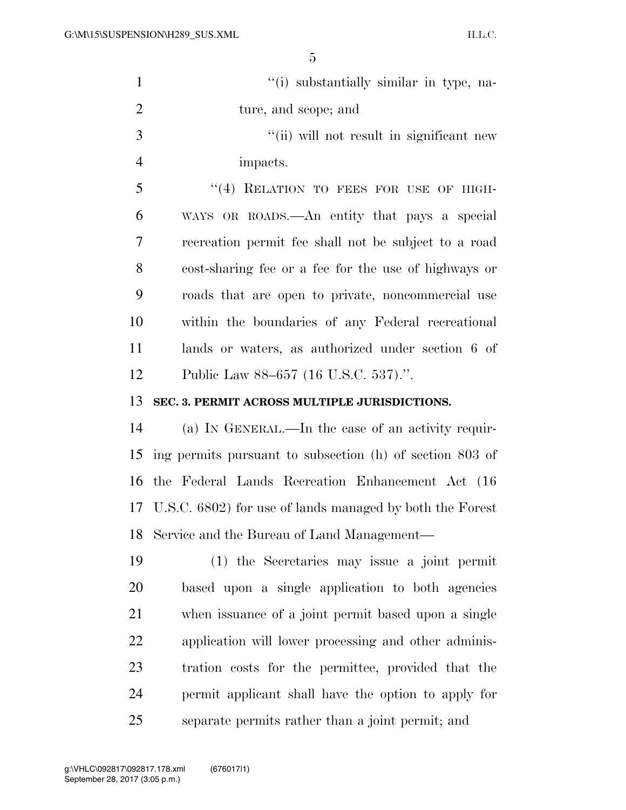| $\mathbf{1}$   | "(i) substantially similar in type, na-                     |
|----------------|-------------------------------------------------------------|
| $\mathbf{2}$   | ture, and scope; and                                        |
| 3              | "(ii) will not result in significant new                    |
| $\overline{4}$ | impacts.                                                    |
| 5              | "(4) RELATION TO FEES FOR USE OF HIGH-                      |
| 6              | WAYS OR ROADS.—An entity that pays a special                |
| 7              | recreation permit fee shall not be subject to a road        |
| 8              | cost-sharing fee or a fee for the use of highways or        |
| 9              | roads that are open to private, noncommercial use           |
| 10             | within the boundaries of any Federal recreational           |
| 11             | lands or waters, as authorized under section 6 of           |
| 12             | Public Law 88–657 (16 U.S.C. 537).".                        |
| 13             | SEC. 3. PERMIT ACROSS MULTIPLE JURISDICTIONS.               |
| 14             | (a) IN GENERAL.—In the case of an activity requir-          |
| 15             | ing permits pursuant to subsection (h) of section 803 of    |
| 16             | the Federal Lands Recreation Enhancement Act (16)           |
|                | 17 U.S.C. 6802) for use of lands managed by both the Forest |
| 18             | Service and the Bureau of Land Management—                  |
| 19             | $(1)$ the Secretaries may issue a joint permit              |
| 20             | based upon a single application to both agencies            |
| 21             | when issuance of a joint permit based upon a single         |
| 22             | application will lower processing and other adminis-        |
| 23             | tration costs for the permittee, provided that the          |
| 24             | permit applicant shall have the option to apply for         |
| 25             | separate permits rather than a joint permit; and            |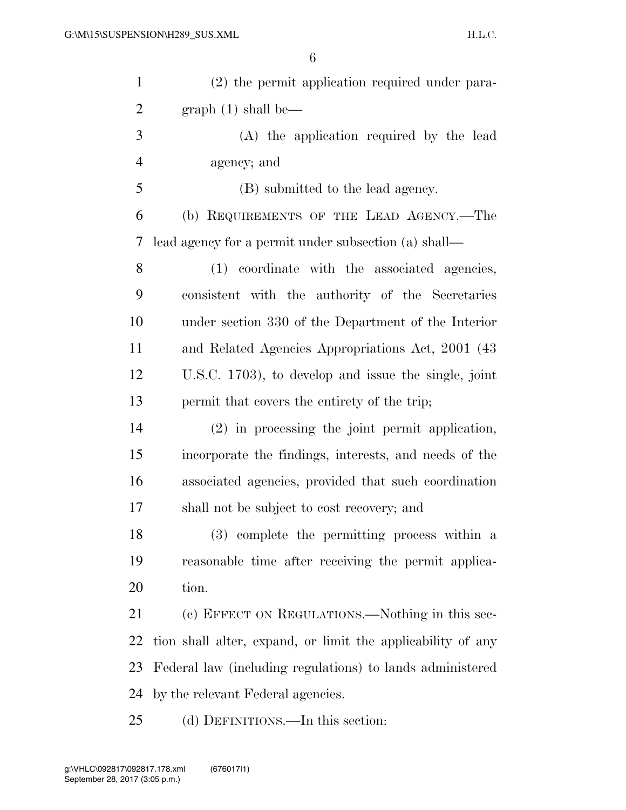| $\mathbf{1}$   | (2) the permit application required under para-             |
|----------------|-------------------------------------------------------------|
| $\overline{2}$ | graph(1) shall be—                                          |
| 3              | (A) the application required by the lead                    |
| 4              | agency; and                                                 |
| 5              | (B) submitted to the lead agency.                           |
| 6              | (b) REQUIREMENTS OF THE LEAD AGENCY.—The                    |
| 7              | lead agency for a permit under subsection (a) shall—        |
| 8              | (1) coordinate with the associated agencies,                |
| 9              | consistent with the authority of the Secretaries            |
| 10             | under section 330 of the Department of the Interior         |
| 11             | and Related Agencies Appropriations Act, 2001 (43)          |
| 12             | U.S.C. 1703), to develop and issue the single, joint        |
| 13             | permit that covers the entirety of the trip;                |
| 14             | $(2)$ in processing the joint permit application,           |
| 15             | incorporate the findings, interests, and needs of the       |
| 16             | associated agencies, provided that such coordination        |
| 17             | shall not be subject to cost recovery; and                  |
| 18             | (3) complete the permitting process within a                |
| 19             | reasonable time after receiving the permit applica-         |
| 20             | tion.                                                       |
| 21             | (c) EFFECT ON REGULATIONS.—Nothing in this sec-             |
| 22             | tion shall alter, expand, or limit the applicability of any |
| 23             | Federal law (including regulations) to lands administered   |
| 24             | by the relevant Federal agencies.                           |
| 25             | (d) DEFINITIONS.—In this section:                           |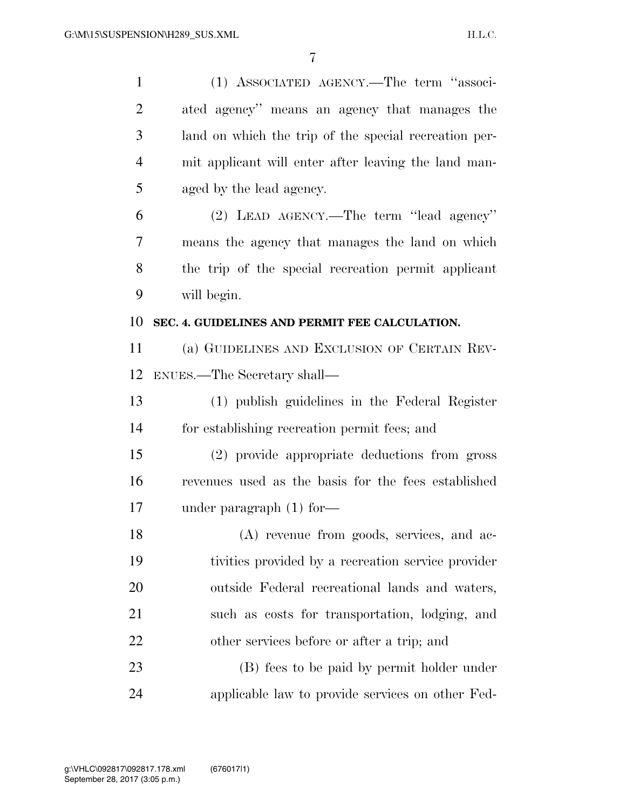| $\mathbf{1}$   | (1) ASSOCIATED AGENCY.—The term "associ-              |
|----------------|-------------------------------------------------------|
| $\overline{2}$ | ated agency" means an agency that manages the         |
| 3              | land on which the trip of the special recreation per- |
| $\overline{4}$ | mit applicant will enter after leaving the land man-  |
| 5              | aged by the lead agency.                              |
| 6              | (2) LEAD AGENCY.—The term "lead agency"               |
| 7              | means the agency that manages the land on which       |
| 8              | the trip of the special recreation permit applicant   |
| 9              | will begin.                                           |
| 10             | SEC. 4. GUIDELINES AND PERMIT FEE CALCULATION.        |
| 11             | (a) GUIDELINES AND EXCLUSION OF CERTAIN REV-          |
| 12             | ENUES.—The Secretary shall—                           |
| 13             | (1) publish guidelines in the Federal Register        |
|                |                                                       |
| 14             | for establishing recreation permit fees; and          |
| 15             | (2) provide appropriate deductions from gross         |
| 16             | revenues used as the basis for the fees established   |
| 17             | under paragraph $(1)$ for-                            |
| 18             | (A) revenue from goods, services, and ac-             |
| 19             | tivities provided by a recreation service provider    |
| 20             | outside Federal recreational lands and waters,        |
| 21             | such as costs for transportation, lodging, and        |
| 22             | other services before or after a trip; and            |
| 23             | (B) fees to be paid by permit holder under            |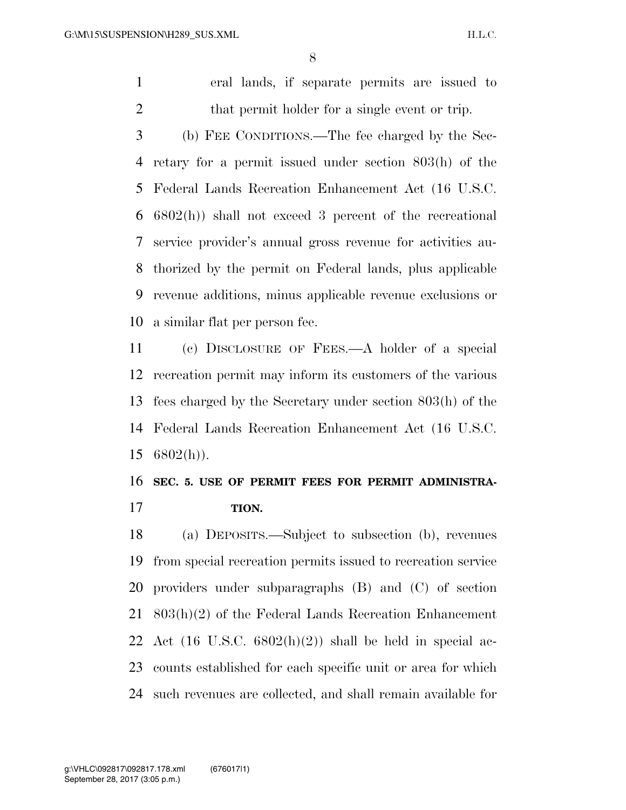eral lands, if separate permits are issued to 2 that permit holder for a single event or trip.

 (b) FEE CONDITIONS.—The fee charged by the Sec- retary for a permit issued under section 803(h) of the Federal Lands Recreation Enhancement Act (16 U.S.C. 6802(h)) shall not exceed 3 percent of the recreational service provider's annual gross revenue for activities au- thorized by the permit on Federal lands, plus applicable revenue additions, minus applicable revenue exclusions or a similar flat per person fee.

 (c) DISCLOSURE OF FEES.—A holder of a special recreation permit may inform its customers of the various fees charged by the Secretary under section 803(h) of the Federal Lands Recreation Enhancement Act (16 U.S.C.  $15 \quad 6802(h)$ ).

### **SEC. 5. USE OF PERMIT FEES FOR PERMIT ADMINISTRA-TION.**

 (a) DEPOSITS.—Subject to subsection (b), revenues from special recreation permits issued to recreation service providers under subparagraphs (B) and (C) of section 803(h)(2) of the Federal Lands Recreation Enhancement 22 Act  $(16 \text{ U.S.C. } 6802(h)(2))$  shall be held in special ac- counts established for each specific unit or area for which such revenues are collected, and shall remain available for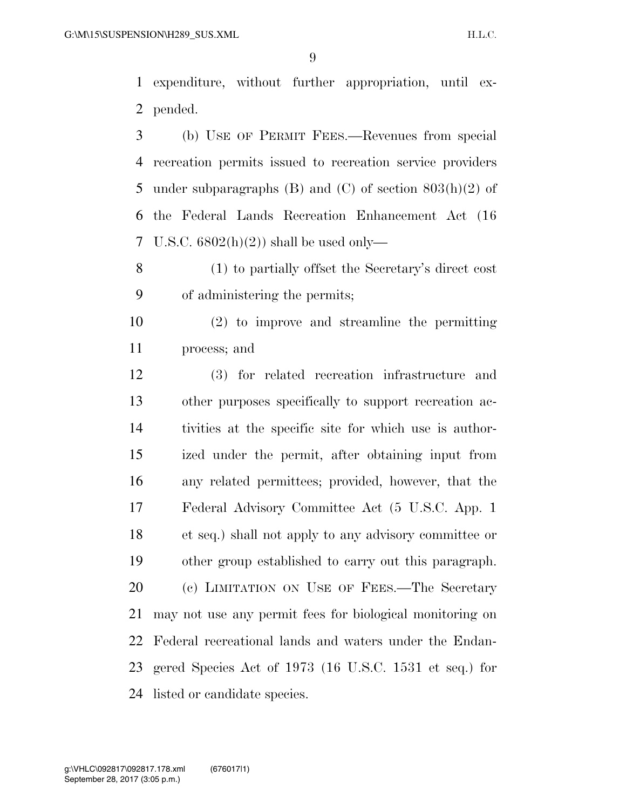expenditure, without further appropriation, until ex-pended.

 (b) USE OF PERMIT FEES.—Revenues from special recreation permits issued to recreation service providers 5 under subparagraphs (B) and (C) of section  $803(h)(2)$  of the Federal Lands Recreation Enhancement Act (16 U.S.C. 6802(h)(2)) shall be used only—

 (1) to partially offset the Secretary's direct cost of administering the permits;

 (2) to improve and streamline the permitting process; and

 (3) for related recreation infrastructure and other purposes specifically to support recreation ac- tivities at the specific site for which use is author- ized under the permit, after obtaining input from any related permittees; provided, however, that the Federal Advisory Committee Act (5 U.S.C. App. 1 et seq.) shall not apply to any advisory committee or other group established to carry out this paragraph. (c) LIMITATION ON USE OF FEES.—The Secretary may not use any permit fees for biological monitoring on Federal recreational lands and waters under the Endan- gered Species Act of 1973 (16 U.S.C. 1531 et seq.) for listed or candidate species.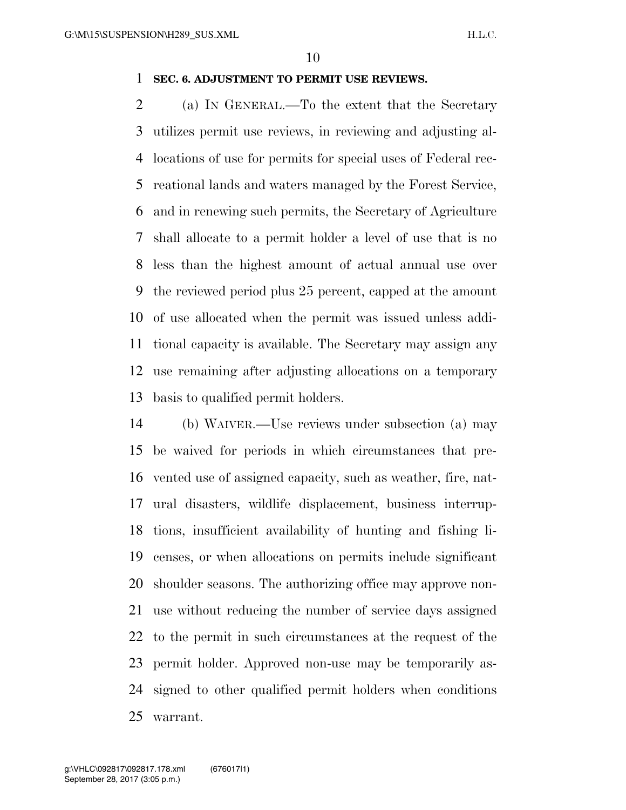#### **SEC. 6. ADJUSTMENT TO PERMIT USE REVIEWS.**

 (a) IN GENERAL.—To the extent that the Secretary utilizes permit use reviews, in reviewing and adjusting al- locations of use for permits for special uses of Federal rec- reational lands and waters managed by the Forest Service, and in renewing such permits, the Secretary of Agriculture shall allocate to a permit holder a level of use that is no less than the highest amount of actual annual use over the reviewed period plus 25 percent, capped at the amount of use allocated when the permit was issued unless addi- tional capacity is available. The Secretary may assign any use remaining after adjusting allocations on a temporary basis to qualified permit holders.

 (b) WAIVER.—Use reviews under subsection (a) may be waived for periods in which circumstances that pre- vented use of assigned capacity, such as weather, fire, nat- ural disasters, wildlife displacement, business interrup- tions, insufficient availability of hunting and fishing li- censes, or when allocations on permits include significant shoulder seasons. The authorizing office may approve non- use without reducing the number of service days assigned to the permit in such circumstances at the request of the permit holder. Approved non-use may be temporarily as- signed to other qualified permit holders when conditions warrant.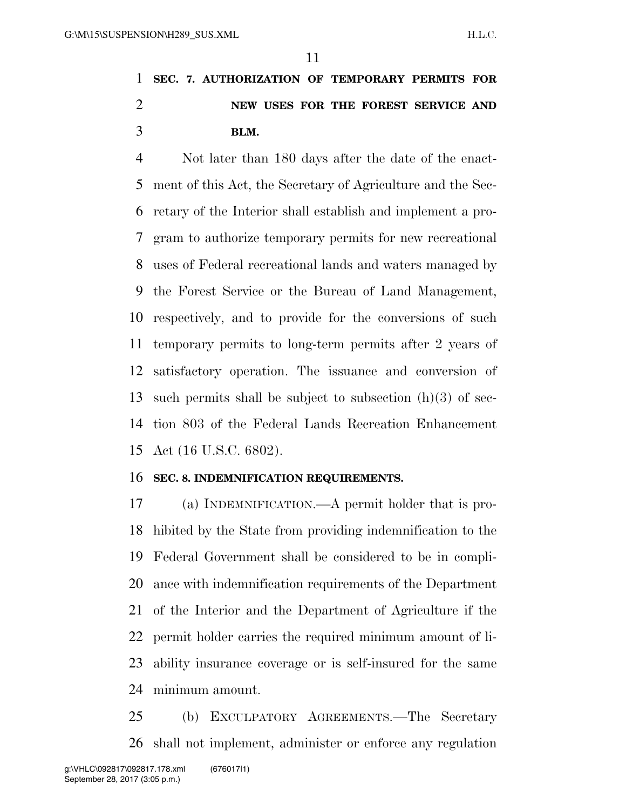## **SEC. 7. AUTHORIZATION OF TEMPORARY PERMITS FOR NEW USES FOR THE FOREST SERVICE AND BLM.**

 Not later than 180 days after the date of the enact- ment of this Act, the Secretary of Agriculture and the Sec- retary of the Interior shall establish and implement a pro- gram to authorize temporary permits for new recreational uses of Federal recreational lands and waters managed by the Forest Service or the Bureau of Land Management, respectively, and to provide for the conversions of such temporary permits to long-term permits after 2 years of satisfactory operation. The issuance and conversion of 13 such permits shall be subject to subsection  $(h)(3)$  of sec- tion 803 of the Federal Lands Recreation Enhancement Act (16 U.S.C. 6802).

#### **SEC. 8. INDEMNIFICATION REQUIREMENTS.**

 (a) INDEMNIFICATION.—A permit holder that is pro- hibited by the State from providing indemnification to the Federal Government shall be considered to be in compli- ance with indemnification requirements of the Department of the Interior and the Department of Agriculture if the permit holder carries the required minimum amount of li- ability insurance coverage or is self-insured for the same minimum amount.

 (b) EXCULPATORY AGREEMENTS.—The Secretary shall not implement, administer or enforce any regulation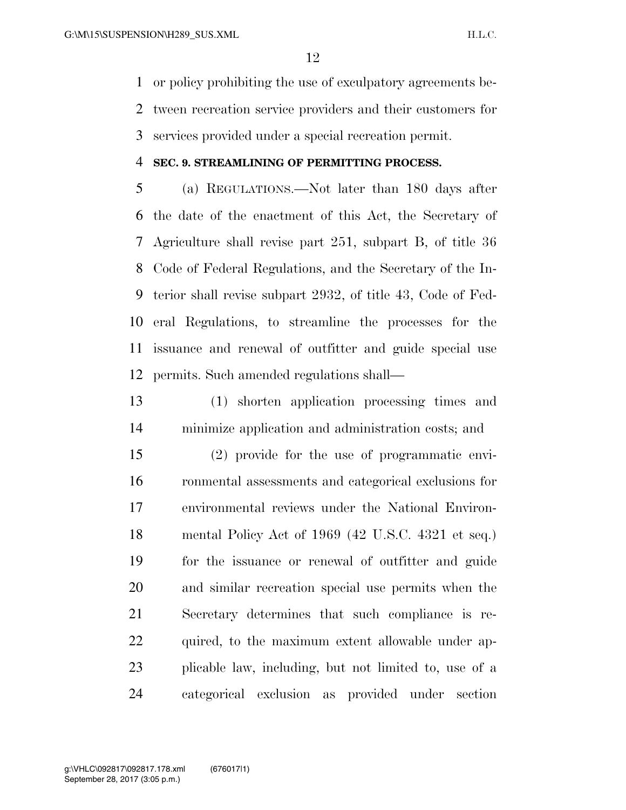or policy prohibiting the use of exculpatory agreements be- tween recreation service providers and their customers for services provided under a special recreation permit.

#### **SEC. 9. STREAMLINING OF PERMITTING PROCESS.**

 (a) REGULATIONS.—Not later than 180 days after the date of the enactment of this Act, the Secretary of Agriculture shall revise part 251, subpart B, of title 36 Code of Federal Regulations, and the Secretary of the In- terior shall revise subpart 2932, of title 43, Code of Fed- eral Regulations, to streamline the processes for the issuance and renewal of outfitter and guide special use permits. Such amended regulations shall—

 (1) shorten application processing times and minimize application and administration costs; and

 (2) provide for the use of programmatic envi- ronmental assessments and categorical exclusions for environmental reviews under the National Environ- mental Policy Act of 1969 (42 U.S.C. 4321 et seq.) for the issuance or renewal of outfitter and guide and similar recreation special use permits when the Secretary determines that such compliance is re-22 quired, to the maximum extent allowable under ap- plicable law, including, but not limited to, use of a categorical exclusion as provided under section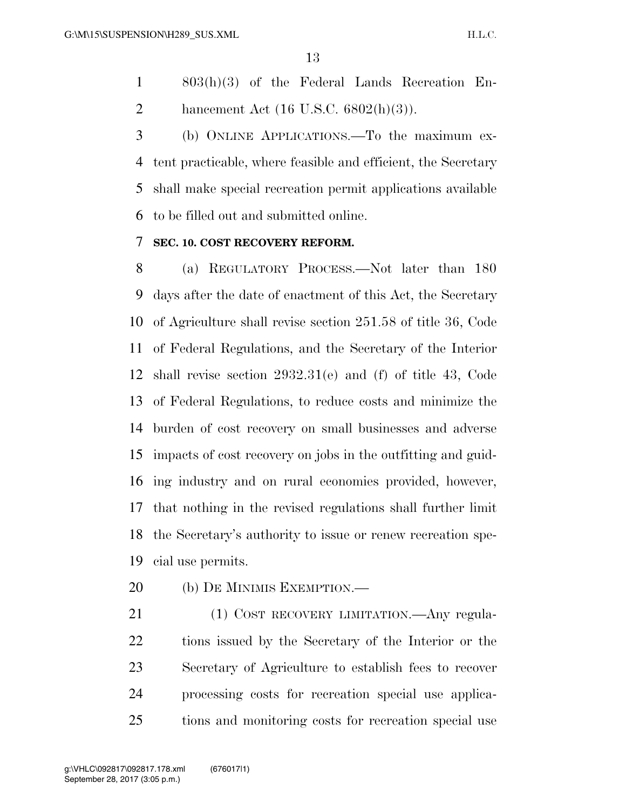803(h)(3) of the Federal Lands Recreation En-2 hancement Act  $(16 \text{ U.S.C. } 6802(h)(3))$ .

 (b) ONLINE APPLICATIONS.—To the maximum ex- tent practicable, where feasible and efficient, the Secretary shall make special recreation permit applications available to be filled out and submitted online.

#### **SEC. 10. COST RECOVERY REFORM.**

 (a) REGULATORY PROCESS.—Not later than 180 days after the date of enactment of this Act, the Secretary of Agriculture shall revise section 251.58 of title 36, Code of Federal Regulations, and the Secretary of the Interior shall revise section 2932.31(e) and (f) of title 43, Code of Federal Regulations, to reduce costs and minimize the burden of cost recovery on small businesses and adverse impacts of cost recovery on jobs in the outfitting and guid- ing industry and on rural economies provided, however, that nothing in the revised regulations shall further limit the Secretary's authority to issue or renew recreation spe-cial use permits.

- (b) DE MINIMIS EXEMPTION.—
- 21 (1) COST RECOVERY LIMITATION.—Any regula- tions issued by the Secretary of the Interior or the Secretary of Agriculture to establish fees to recover processing costs for recreation special use applica-tions and monitoring costs for recreation special use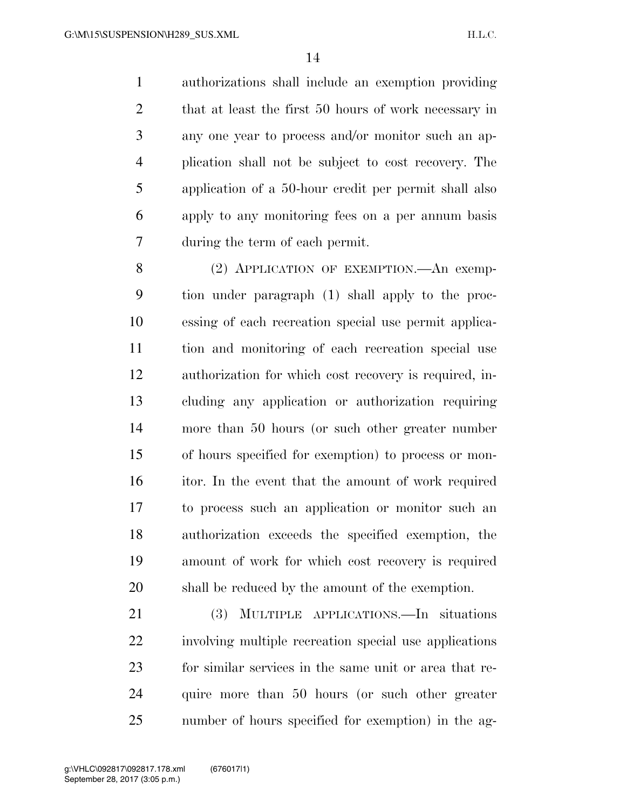authorizations shall include an exemption providing 2 that at least the first 50 hours of work necessary in any one year to process and/or monitor such an ap- plication shall not be subject to cost recovery. The application of a 50-hour credit per permit shall also apply to any monitoring fees on a per annum basis during the term of each permit.

8 (2) APPLICATION OF EXEMPTION.—An exemp- tion under paragraph (1) shall apply to the proc- essing of each recreation special use permit applica- tion and monitoring of each recreation special use authorization for which cost recovery is required, in- cluding any application or authorization requiring more than 50 hours (or such other greater number of hours specified for exemption) to process or mon- itor. In the event that the amount of work required to process such an application or monitor such an authorization exceeds the specified exemption, the amount of work for which cost recovery is required shall be reduced by the amount of the exemption.

 (3) MULTIPLE APPLICATIONS.—In situations involving multiple recreation special use applications for similar services in the same unit or area that re- quire more than 50 hours (or such other greater number of hours specified for exemption) in the ag-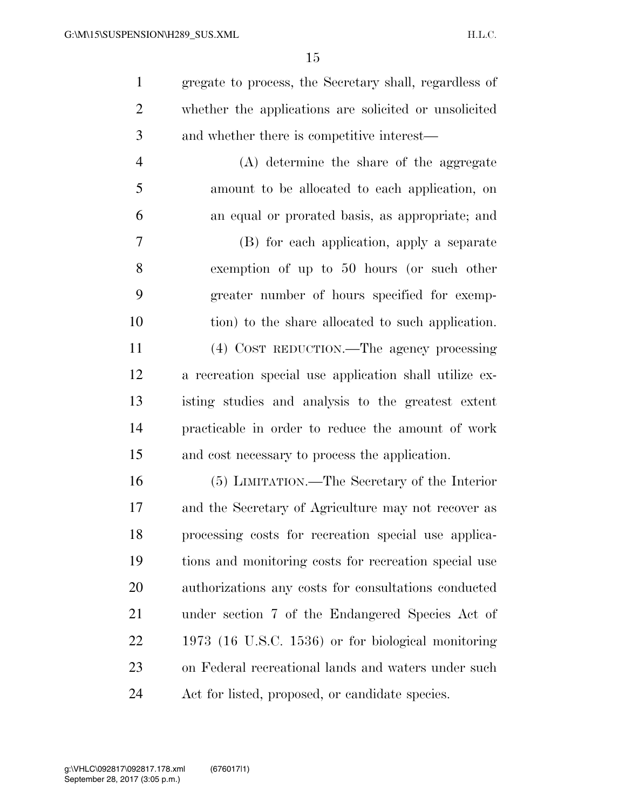| $\mathbf{1}$   | gregate to process, the Secretary shall, regardless of |
|----------------|--------------------------------------------------------|
| $\overline{2}$ | whether the applications are solicited or unsolicited  |
| 3              | and whether there is competitive interest—             |
| $\overline{4}$ | (A) determine the share of the aggregate               |
| 5              | amount to be allocated to each application, on         |
| 6              | an equal or prorated basis, as appropriate; and        |
| 7              | (B) for each application, apply a separate             |
| 8              | exemption of up to 50 hours (or such other             |
| 9              | greater number of hours specified for exemp-           |
| 10             | tion) to the share allocated to such application.      |
| 11             | (4) COST REDUCTION.—The agency processing              |
| 12             | a recreation special use application shall utilize ex- |
| 13             | isting studies and analysis to the greatest extent     |
| 14             | practicable in order to reduce the amount of work      |
| 15             | and cost necessary to process the application.         |
| 16             | (5) LIMITATION.—The Secretary of the Interior          |
| 17             | and the Secretary of Agriculture may not recover as    |
| 18             | processing costs for recreation special use applica-   |
| 19             | tions and monitoring costs for recreation special use  |
| 20             | authorizations any costs for consultations conducted   |
| 21             | under section 7 of the Endangered Species Act of       |
|                |                                                        |

 1973 (16 U.S.C. 1536) or for biological monitoring on Federal recreational lands and waters under such Act for listed, proposed, or candidate species.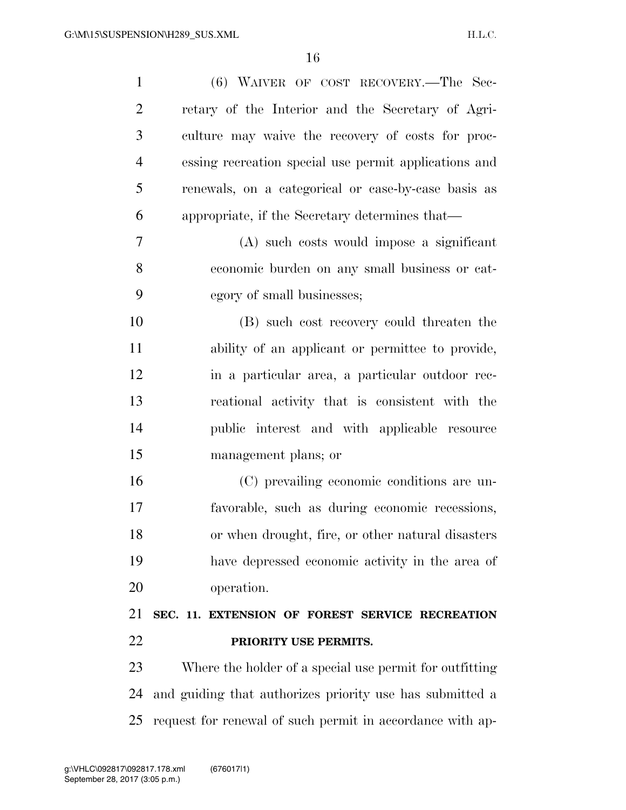| $\mathbf{1}$   | (6) WAIVER OF COST RECOVERY.—The Sec-                    |
|----------------|----------------------------------------------------------|
| $\overline{2}$ | retary of the Interior and the Secretary of Agri-        |
| 3              | culture may waive the recovery of costs for proc-        |
| $\overline{4}$ | essing recreation special use permit applications and    |
| 5              | renewals, on a categorical or case-by-case basis as      |
| 6              | appropriate, if the Secretary determines that—           |
| 7              | (A) such costs would impose a significant                |
| 8              | economic burden on any small business or cat-            |
| 9              | egory of small businesses;                               |
| 10             | (B) such cost recovery could threaten the                |
| 11             | ability of an applicant or permittee to provide,         |
| 12             | in a particular area, a particular outdoor rec-          |
| 13             | reational activity that is consistent with the           |
| 14             | public interest and with applicable resource             |
| 15             | management plans; or                                     |
| 16             | (C) prevailing economic conditions are un-               |
| 17             | favorable, such as during economic recessions,           |
| 18             | or when drought, fire, or other natural disasters        |
| 19             | have depressed economic activity in the area of          |
| 20             | operation.                                               |
| 21             |                                                          |
|                | SEC. 11. EXTENSION OF FOREST SERVICE RECREATION          |
| 22             | PRIORITY USE PERMITS.                                    |
| 23             | Where the holder of a special use permit for outfitting  |
| 24             | and guiding that authorizes priority use has submitted a |